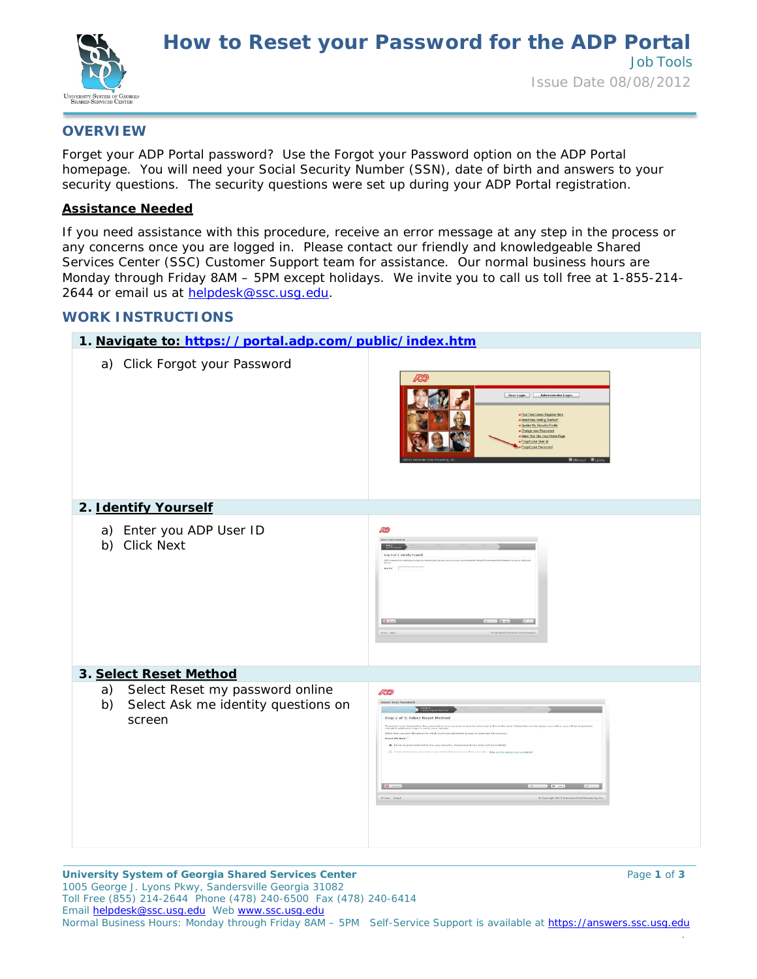

## **OVERVIEW**

Forget your ADP Portal password? Use the *Forgot your Password* option on the ADP Portal homepage. You will need your Social Security Number (SSN), date of birth and answers to your security questions. *The security questions were set up during your ADP Portal registration*.

## **Assistance Needed**

If you need assistance with this procedure, receive an error message at any step in the process or any concerns once you are logged in. Please contact our friendly and knowledgeable Shared Services Center (SSC) Customer Support team for assistance. Our normal business hours are Monday through Friday 8AM – 5PM except holidays. We invite you to call us toll free at 1-855-214- 2644 or email us at helpdesk@ssc.usq.edu.

## **WORK INSTRUCTIONS**

| 1. Navigate to: https://portal.adp.com/public/index.htm                                      |                                                                                                                                                                                                                                                                                                                                                                                                                                                                                                                                                                                                                                                                                                 |
|----------------------------------------------------------------------------------------------|-------------------------------------------------------------------------------------------------------------------------------------------------------------------------------------------------------------------------------------------------------------------------------------------------------------------------------------------------------------------------------------------------------------------------------------------------------------------------------------------------------------------------------------------------------------------------------------------------------------------------------------------------------------------------------------------------|
| a) Click Forgot your Password                                                                | <b>ADD</b><br>User Login Administrator Login<br>. First Time Users Register Here<br>. Need Help Getting Started?<br>· Update My Security Profile<br>· Change your Password<br>. Make This Ste Your Home Page<br>· Forgot your User ld<br>· Forget your Password                                                                                                                                                                                                                                                                                                                                                                                                                                 |
| 2. Identify Yourself                                                                         |                                                                                                                                                                                                                                                                                                                                                                                                                                                                                                                                                                                                                                                                                                 |
| a) Enter you ADP User ID<br>b) Click Next                                                    | AD?<br><b>Reset Your Password</b><br>Step 1 of S: Identify Yourself<br><b>India potential competition</b><br>AEFH 0<br>Borist Com<br>$Q$ Costal<br>$\omega$ is not that $\mathbb{R}^n$                                                                                                                                                                                                                                                                                                                                                                                                                                                                                                          |
| 3. Select Reset Method                                                                       |                                                                                                                                                                                                                                                                                                                                                                                                                                                                                                                                                                                                                                                                                                 |
| Select Reset my password online<br>a)<br>Select Ask me identity questions on<br>b)<br>screen | <b>ADP</b><br>Reset Your Password<br><b>Step 2</b><br>Edect Reset Method<br>Step 2 of 5: Select Reset Method<br>To protect your information, the password to your account canni<br>complete additional steps to venly your identity.<br>ved and must be reset. Depending on the cotton you select, you will be req<br>Select the contact information to which you have inmediate access to cont<br>Reset Method:"<br>( I have my password online (For your ascurity, the password you arder will be masked)<br>in my need addition focusers there are new. May a this option not available<br>C Cincel<br>$\blacksquare$<br>Pricesy, Lloyal<br>@ Capyright 2012 Automatic Data Processing, Inc. |

**University System of Georgia Shared Services Center** Page **1** of **3** 1005 George J. Lyons Pkwy, Sandersville Georgia 31082 Toll Free (855) 214-2644 Phone (478) 240-6500 Fax (478) 240-6414 Email [helpdesk@ssc.usg.edu](mailto:helpdesk@ssc.usg.edu) Web [www.ssc.usg.edu](http://www.ssc.usg.edu/) Normal Business Hours: Monday through Friday 8AM - 5PM Self-Service Support is available at https://answers.ssc.usq.edu .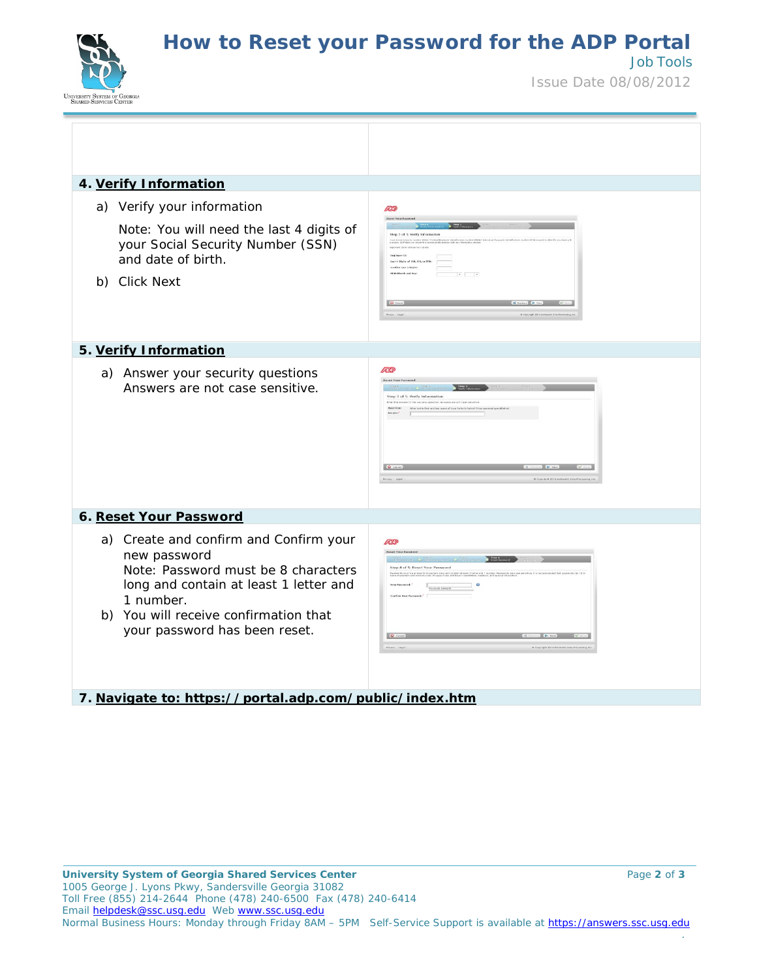**How to Reset your Password for the ADP Portal**



Issue Date 08/08/2012

Job Tools

| 4. Verify Information                                                                                                                                                                                                          |                                                                                                        |
|--------------------------------------------------------------------------------------------------------------------------------------------------------------------------------------------------------------------------------|--------------------------------------------------------------------------------------------------------|
| a) Verify your information<br>Note: You will need the last 4 digits of<br>your Social Security Number (SSN)<br>and date of birth.<br>b) Click Next                                                                             | <b>ADP</b><br>Reset Your<br>Step 3 of 5: Verify Information<br>effen Lest 4 Digits:<br>$\cdot$ $\cdot$ |
| 5. Verify Information                                                                                                                                                                                                          |                                                                                                        |
| a) Answer your security questions<br>Answers are not case sensitive.                                                                                                                                                           | <b>ADP</b><br>Reset Your Password<br>ep 3 of 5: Verify Informatio<br><b>Q</b> Cancel                   |
| 6. Reset Your Password                                                                                                                                                                                                         |                                                                                                        |
| a) Create and confirm and Confirm your<br>new password<br>Note: Password must be 8 characters<br>long and contain at least 1 letter and<br>1 number.<br>b) You will receive confirmation that<br>your password has been reset. | ÆP<br>Reset Your Password<br>Step 4 of 5: Reset Your Password<br>Possword strength                     |
| 7. Navigate to: https://portal.adp.com/public/index.htm                                                                                                                                                                        |                                                                                                        |